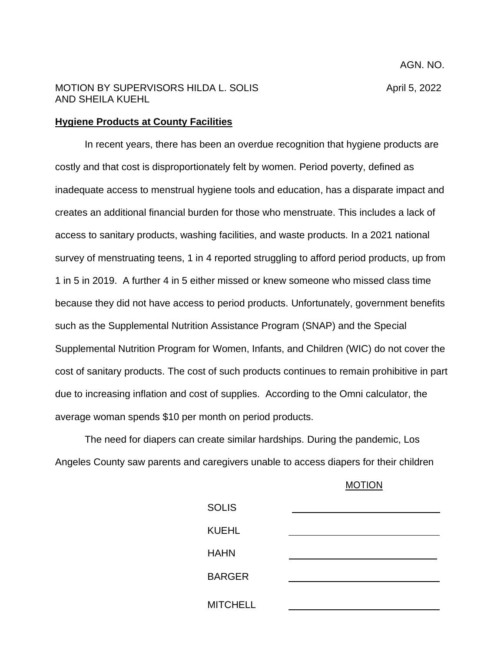## MOTION BY SUPERVISORS HILDA L. SOLIS And April 5, 2022 AND SHEILA KUEHL

AGN. NO.

## **Hygiene Products at County Facilities**

In recent years, there has been an overdue recognition that hygiene products are costly and that cost is disproportionately felt by women. Period poverty, defined as inadequate access to menstrual hygiene tools and education, has a disparate impact and creates an additional financial burden for those who menstruate. This includes a lack of access to sanitary products, washing facilities, and waste products. In a 2021 national survey of menstruating teens, 1 in 4 reported struggling to afford period products, up from 1 in 5 in 2019. A further 4 in 5 either missed or knew someone who missed class time because they did not have access to period products. Unfortunately, government benefits such as the Supplemental Nutrition Assistance Program (SNAP) and the Special Supplemental Nutrition Program for Women, Infants, and Children (WIC) do not cover the cost of sanitary products. The cost of such products continues to remain prohibitive in part due to increasing inflation and cost of supplies. According to the Omni calculator, the average woman spends \$10 per month on period products.

The need for diapers can create similar hardships. During the pandemic, Los Angeles County saw parents and caregivers unable to access diapers for their children

## MOTION

| <b>SOLIS</b>    |  |
|-----------------|--|
| <b>KUEHL</b>    |  |
| <b>HAHN</b>     |  |
| <b>BARGER</b>   |  |
| <b>MITCHELL</b> |  |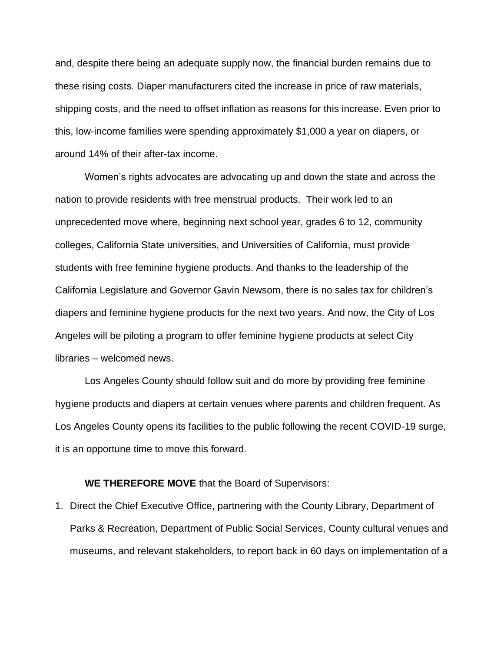and, despite there being an adequate supply now, the financial burden remains due to these rising costs. Diaper manufacturers cited the increase in price of raw materials, shipping costs, and the need to offset inflation as reasons for this increase. Even prior to this, low-income families were spending approximately \$1,000 a year on diapers, or around 14% of their after-tax income.

Women's rights advocates are advocating up and down the state and across the nation to provide residents with free menstrual products. Their work led to an unprecedented move where, beginning next school year, grades 6 to 12, community colleges, California State universities, and Universities of California, must provide students with free feminine hygiene products. And thanks to the leadership of the California Legislature and Governor Gavin Newsom, there is no sales tax for children's diapers and feminine hygiene products for the next two years. And now, the City of Los Angeles will be piloting a program to offer feminine hygiene products at select City libraries – welcomed news.

Los Angeles County should follow suit and do more by providing free feminine hygiene products and diapers at certain venues where parents and children frequent. As Los Angeles County opens its facilities to the public following the recent COVID-19 surge, it is an opportune time to move this forward.

## **WE THEREFORE MOVE** that the Board of Supervisors:

1. Direct the Chief Executive Office, partnering with the County Library, Department of Parks & Recreation, Department of Public Social Services, County cultural venues and museums, and relevant stakeholders, to report back in 60 days on implementation of a